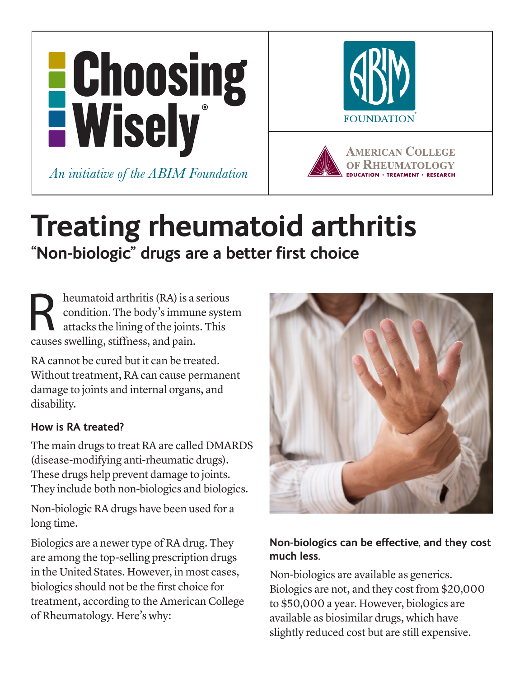

# **Treating rheumatoid arthritis "Non-biologic" drugs are a better first choice**

R heumatoid arthritis (RA) is a serious<br>condition. The body's immune syste<br>attacks the lining of the joints. This condition. The body's immune system attacks the lining of the joints. This causes swelling, stiffness, and pain.

RA cannot be cured but it can be treated. Without treatment, RA can cause permanent damage to joints and internal organs, and disability.

### **How is RA treated?**

The main drugs to treat RA are called DMARDS (disease-modifying anti-rheumatic drugs). These drugs help prevent damage to joints. They include both non-biologics and biologics.

Non-biologic RA drugs have been used for a long time.

Biologics are a newer type of RA drug. They are among the top-selling prescription drugs in the United States. However, in most cases, biologics should not be the first choice for treatment, according to the American College of Rheumatology. Here's why:



# **Non-biologics can be effective, and they cost much less.**

Non-biologics are available as generics. Biologics are not, and they cost from \$20,000 to \$50,000 a year. However, biologics are available as biosimilar drugs, which have slightly reduced cost but are still expensive.